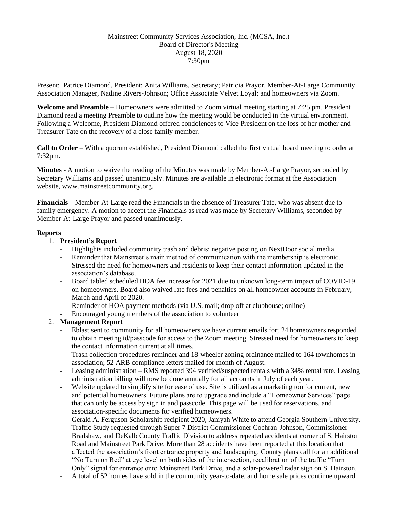## Mainstreet Community Services Association, Inc. (MCSA, Inc.) Board of Director's Meeting August 18, 2020 7:30pm

Present: Patrice Diamond, President; Anita Williams, Secretary; Patricia Prayor, Member-At-Large Community Association Manager, Nadine Rivers-Johnson; Office Associate Velvet Loyal; and homeowners via Zoom.

**Welcome and Preamble** – Homeowners were admitted to Zoom virtual meeting starting at 7:25 pm. President Diamond read a meeting Preamble to outline how the meeting would be conducted in the virtual environment. Following a Welcome, President Diamond offered condolences to Vice President on the loss of her mother and Treasurer Tate on the recovery of a close family member.

**Call to Order** – With a quorum established, President Diamond called the first virtual board meeting to order at 7:32pm.

**Minutes** - A motion to waive the reading of the Minutes was made by Member-At-Large Prayor, seconded by Secretary Williams and passed unanimously. Minutes are available in electronic format at the Association website, www.mainstreetcommunity.org.

**Financials** – Member-At-Large read the Financials in the absence of Treasurer Tate, who was absent due to family emergency. A motion to accept the Financials as read was made by Secretary Williams, seconded by Member-At-Large Prayor and passed unanimously.

#### **Reports**

## 1. **President's Report**

- Highlights included community trash and debris; negative posting on NextDoor social media.
- Reminder that Mainstreet's main method of communication with the membership is electronic. Stressed the need for homeowners and residents to keep their contact information updated in the association's database.
- Board tabled scheduled HOA fee increase for 2021 due to unknown long-term impact of COVID-19 on homeowners. Board also waived late fees and penalties on all homeowner accounts in February, March and April of 2020.
- Reminder of HOA payment methods (via U.S. mail; drop off at clubhouse; online)
- Encouraged young members of the association to volunteer

# 2. **Management Report**

- Eblast sent to community for all homeowners we have current emails for; 24 homeowners responded to obtain meeting id/passcode for access to the Zoom meeting. Stressed need for homeowners to keep the contact information current at all times.
- Trash collection procedures reminder and 18-wheeler zoning ordinance mailed to 164 townhomes in association; 52 ARB compliance letters mailed for month of August.
- Leasing administration RMS reported 394 verified/suspected rentals with a 34% rental rate. Leasing administration billing will now be done annually for all accounts in July of each year.
- Website updated to simplify site for ease of use. Site is utilized as a marketing too for current, new and potential homeowners. Future plans are to upgrade and include a "Homeowner Services" page that can only be access by sign in and passcode. This page will be used for reservations, and association-specific documents for verified homeowners.
- Gerald A. Ferguson Scholarship recipient 2020, Janiyah White to attend Georgia Southern University.
- Traffic Study requested through Super 7 District Commissioner Cochran-Johnson, Commissioner Bradshaw, and DeKalb County Traffic Division to address repeated accidents at corner of S. Hairston Road and Mainstreet Park Drive. More than 28 accidents have been reported at this location that affected the association's front entrance property and landscaping. County plans call for an additional "No Turn on Red" at eye level on both sides of the intersection, recalibration of the traffic "Turn Only" signal for entrance onto Mainstreet Park Drive, and a solar-powered radar sign on S. Hairston.
- A total of 52 homes have sold in the community year-to-date, and home sale prices continue upward.